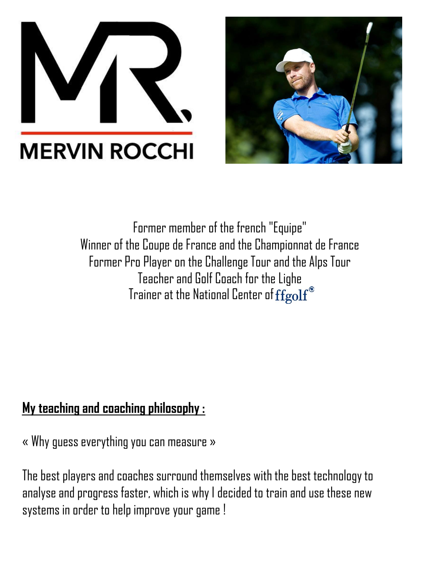



Former member of the french "Equipe" Winner of the Coupe de France and the Championnat de France Former Pro Player on the Challenge Tour and the Alps Tour Teacher and Golf Coach for the Lighe Trainer at the National Center of  $\tilde{\text{fgolf}}^\circ$ 

#### My teaching and coaching philosophy :

« Why guess everything you can measure »

The best players and coaches surround themselves with the best technology to analyse and progress faster, which is why I decided to train and use these new systems in order to help improve your game !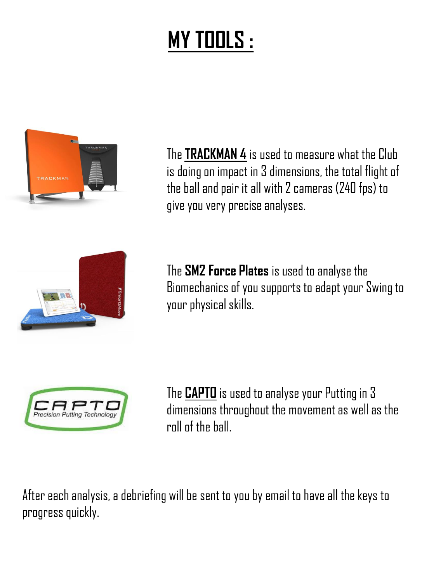## **MY TOOLS :**



The **TRACKMAN 4** is used to measure what the Club is doing on impact in 3 dimensions, the total flight of the ball and pair it all with2 cameras (240 fps) to give you very precise analyses.



The **SM2 Force Plates** isusedto analyse the Biomechanics of you supports to adapt your Swing to your physical skills.



The **CAPTO** is used to analyse your Putting in 3 dimensions throughout the movement as well as the roll of the ball.

After each analysis, a debriefing will be sent to you by email to have all the keys to progress quickly.